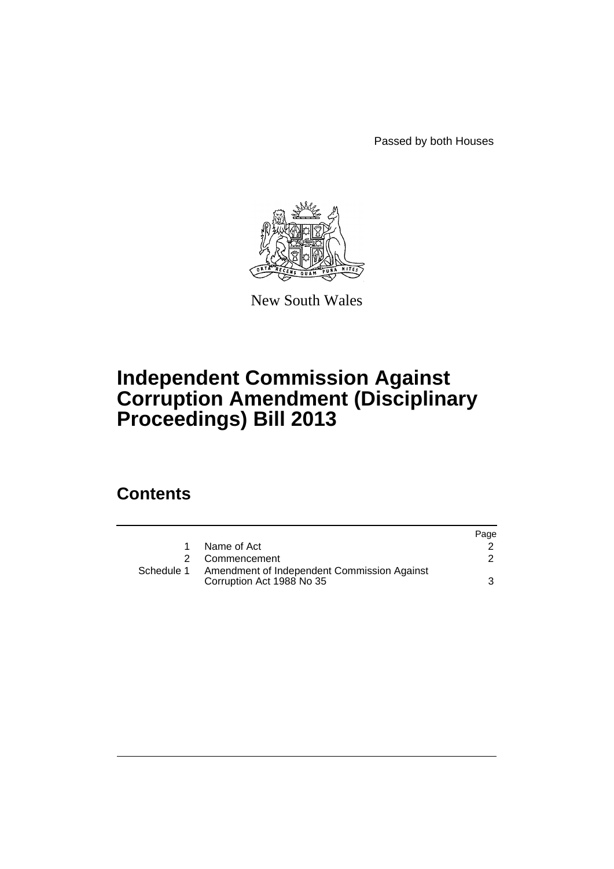Passed by both Houses



New South Wales

# **Independent Commission Against Corruption Amendment (Disciplinary Proceedings) Bill 2013**

## **Contents**

|            |                                                                          | Page |
|------------|--------------------------------------------------------------------------|------|
|            | Name of Act                                                              |      |
|            | Commencement                                                             |      |
| Schedule 1 | Amendment of Independent Commission Against<br>Corruption Act 1988 No 35 |      |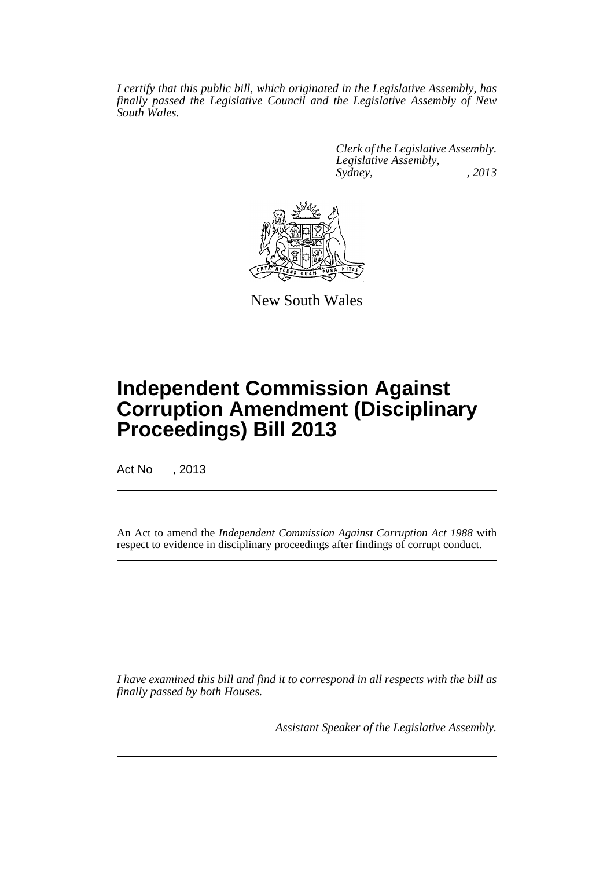*I certify that this public bill, which originated in the Legislative Assembly, has finally passed the Legislative Council and the Legislative Assembly of New South Wales.*

> *Clerk of the Legislative Assembly. Legislative Assembly, Sydney, , 2013*



New South Wales

# **Independent Commission Against Corruption Amendment (Disciplinary Proceedings) Bill 2013**

Act No , 2013

An Act to amend the *Independent Commission Against Corruption Act 1988* with respect to evidence in disciplinary proceedings after findings of corrupt conduct.

*I have examined this bill and find it to correspond in all respects with the bill as finally passed by both Houses.*

*Assistant Speaker of the Legislative Assembly.*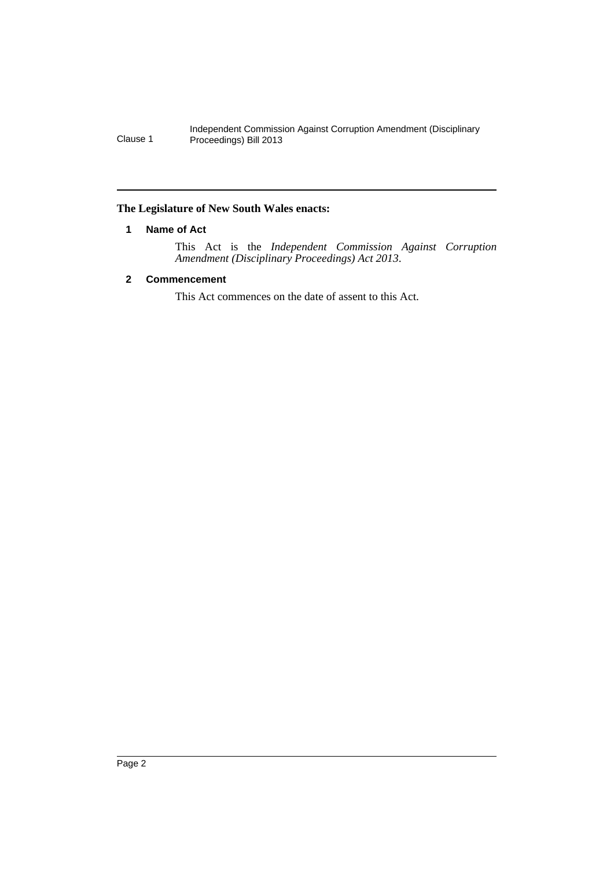Independent Commission Against Corruption Amendment (Disciplinary Clause 1 Proceedings) Bill 2013

## <span id="page-3-0"></span>**The Legislature of New South Wales enacts:**

## **1 Name of Act**

This Act is the *Independent Commission Against Corruption Amendment (Disciplinary Proceedings) Act 2013*.

## <span id="page-3-1"></span>**2 Commencement**

This Act commences on the date of assent to this Act.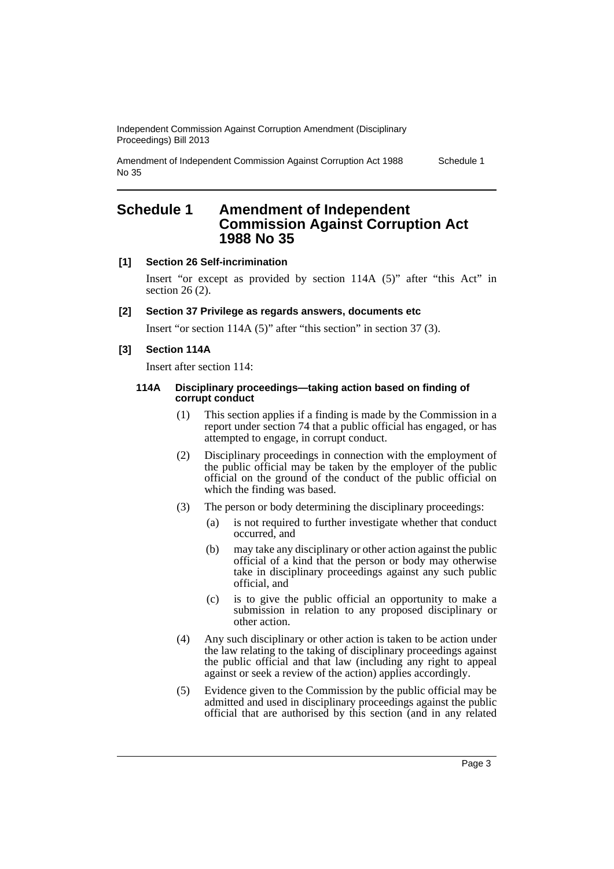Independent Commission Against Corruption Amendment (Disciplinary Proceedings) Bill 2013

Amendment of Independent Commission Against Corruption Act 1988 No 35 Schedule 1

## <span id="page-4-0"></span>**Schedule 1 Amendment of Independent Commission Against Corruption Act 1988 No 35**

### **[1] Section 26 Self-incrimination**

Insert "or except as provided by section 114A (5)" after "this Act" in section 26 (2).

## **[2] Section 37 Privilege as regards answers, documents etc**

Insert "or section 114A (5)" after "this section" in section 37 (3).

## **[3] Section 114A**

Insert after section 114:

### **114A Disciplinary proceedings—taking action based on finding of corrupt conduct**

- (1) This section applies if a finding is made by the Commission in a report under section 74 that a public official has engaged, or has attempted to engage, in corrupt conduct.
- (2) Disciplinary proceedings in connection with the employment of the public official may be taken by the employer of the public official on the ground of the conduct of the public official on which the finding was based.
- (3) The person or body determining the disciplinary proceedings:
	- (a) is not required to further investigate whether that conduct occurred, and
	- (b) may take any disciplinary or other action against the public official of a kind that the person or body may otherwise take in disciplinary proceedings against any such public official, and
	- (c) is to give the public official an opportunity to make a submission in relation to any proposed disciplinary or other action.
- (4) Any such disciplinary or other action is taken to be action under the law relating to the taking of disciplinary proceedings against the public official and that law (including any right to appeal against or seek a review of the action) applies accordingly.
- (5) Evidence given to the Commission by the public official may be admitted and used in disciplinary proceedings against the public official that are authorised by this section (and in any related